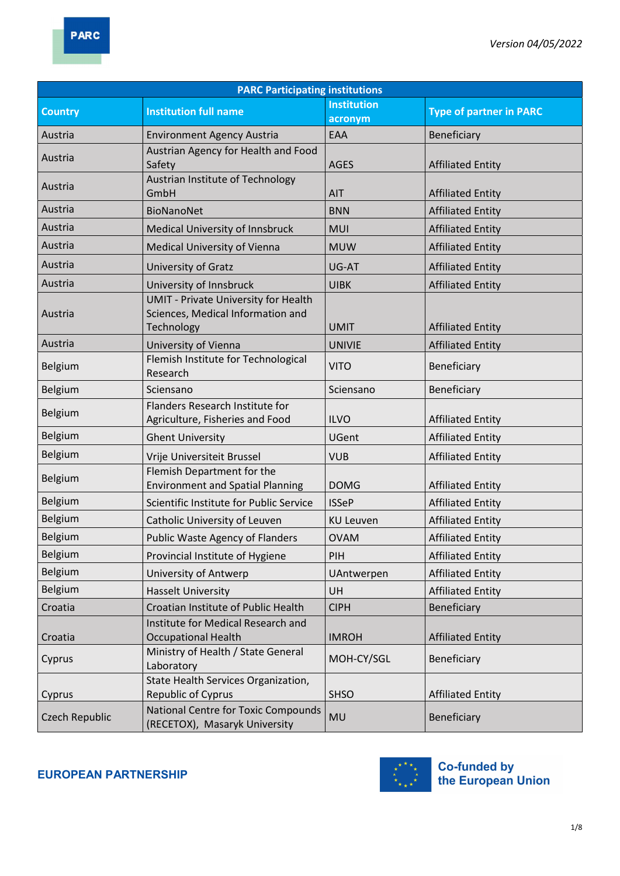| <b>PARC Participating institutions</b> |                                                                                                |                               |                                |  |
|----------------------------------------|------------------------------------------------------------------------------------------------|-------------------------------|--------------------------------|--|
| <b>Country</b>                         | <b>Institution full name</b>                                                                   | <b>Institution</b><br>acronym | <b>Type of partner in PARC</b> |  |
| Austria                                | <b>Environment Agency Austria</b>                                                              | EAA                           | Beneficiary                    |  |
| Austria                                | Austrian Agency for Health and Food<br>Safety                                                  | <b>AGES</b>                   | <b>Affiliated Entity</b>       |  |
| Austria                                | Austrian Institute of Technology<br>GmbH                                                       | AIT                           | <b>Affiliated Entity</b>       |  |
| Austria                                | <b>BioNanoNet</b>                                                                              | <b>BNN</b>                    | <b>Affiliated Entity</b>       |  |
| Austria                                | Medical University of Innsbruck                                                                | <b>MUI</b>                    | <b>Affiliated Entity</b>       |  |
| Austria                                | Medical University of Vienna                                                                   | <b>MUW</b>                    | <b>Affiliated Entity</b>       |  |
| Austria                                | University of Gratz                                                                            | UG-AT                         | <b>Affiliated Entity</b>       |  |
| Austria                                | University of Innsbruck                                                                        | <b>UIBK</b>                   | <b>Affiliated Entity</b>       |  |
| Austria                                | <b>UMIT - Private University for Health</b><br>Sciences, Medical Information and<br>Technology | <b>UMIT</b>                   | <b>Affiliated Entity</b>       |  |
| Austria                                | University of Vienna                                                                           | <b>UNIVIE</b>                 | <b>Affiliated Entity</b>       |  |
| Belgium                                | Flemish Institute for Technological<br>Research                                                | <b>VITO</b>                   | Beneficiary                    |  |
| Belgium                                | Sciensano                                                                                      | Sciensano                     | Beneficiary                    |  |
| Belgium                                | Flanders Research Institute for<br>Agriculture, Fisheries and Food                             | <b>ILVO</b>                   | <b>Affiliated Entity</b>       |  |
| Belgium                                | <b>Ghent University</b>                                                                        | <b>UGent</b>                  | <b>Affiliated Entity</b>       |  |
| Belgium                                | Vrije Universiteit Brussel                                                                     | <b>VUB</b>                    | <b>Affiliated Entity</b>       |  |
| Belgium                                | Flemish Department for the<br><b>Environment and Spatial Planning</b>                          | <b>DOMG</b>                   | <b>Affiliated Entity</b>       |  |
| Belgium                                | Scientific Institute for Public Service                                                        | <b>ISSeP</b>                  | <b>Affiliated Entity</b>       |  |
| Belgium                                | Catholic University of Leuven                                                                  | <b>KU Leuven</b>              | <b>Affiliated Entity</b>       |  |
| Belgium                                | Public Waste Agency of Flanders                                                                | <b>OVAM</b>                   | <b>Affiliated Entity</b>       |  |
| Belgium                                | Provincial Institute of Hygiene                                                                | PIH                           | <b>Affiliated Entity</b>       |  |
| Belgium                                | University of Antwerp                                                                          | UAntwerpen                    | <b>Affiliated Entity</b>       |  |
| Belgium                                | <b>Hasselt University</b>                                                                      | <b>UH</b>                     | <b>Affiliated Entity</b>       |  |
| Croatia                                | Croatian Institute of Public Health                                                            | <b>CIPH</b>                   | Beneficiary                    |  |
| Croatia                                | Institute for Medical Research and<br><b>Occupational Health</b>                               | <b>IMROH</b>                  | <b>Affiliated Entity</b>       |  |
| Cyprus                                 | Ministry of Health / State General<br>Laboratory                                               | MOH-CY/SGL                    | Beneficiary                    |  |
| Cyprus                                 | State Health Services Organization,<br>Republic of Cyprus                                      | <b>SHSO</b>                   | <b>Affiliated Entity</b>       |  |
| Czech Republic                         | <b>National Centre for Toxic Compounds</b><br>(RECETOX), Masaryk University                    | <b>MU</b>                     | Beneficiary                    |  |

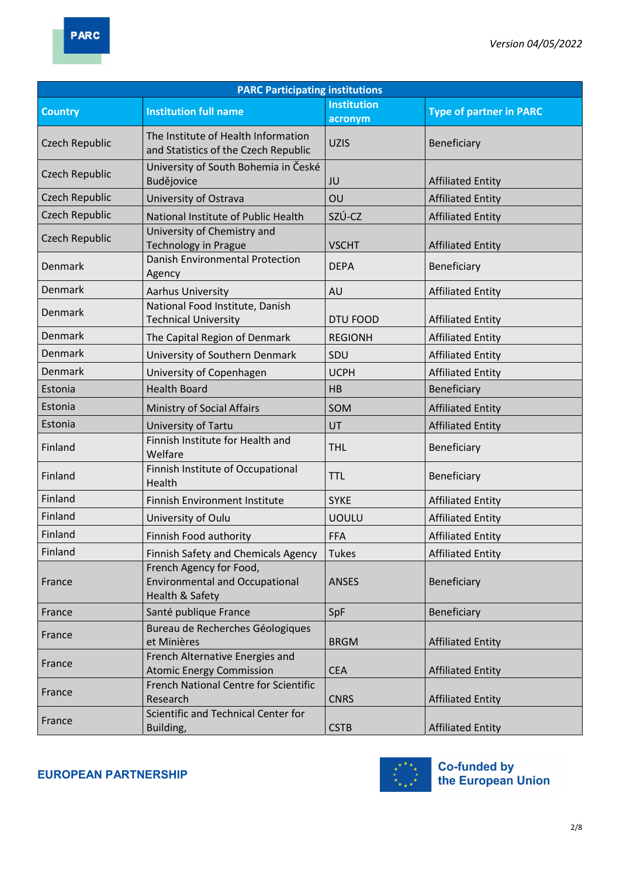| <b>PARC Participating institutions</b> |                                                                                     |                               |                                |  |
|----------------------------------------|-------------------------------------------------------------------------------------|-------------------------------|--------------------------------|--|
| <b>Country</b>                         | <b>Institution full name</b>                                                        | <b>Institution</b><br>acronym | <b>Type of partner in PARC</b> |  |
| Czech Republic                         | The Institute of Health Information<br>and Statistics of the Czech Republic         | <b>UZIS</b>                   | Beneficiary                    |  |
| Czech Republic                         | University of South Bohemia in České<br>Budějovice                                  | JU                            | <b>Affiliated Entity</b>       |  |
| <b>Czech Republic</b>                  | University of Ostrava                                                               | OU                            | <b>Affiliated Entity</b>       |  |
| <b>Czech Republic</b>                  | National Institute of Public Health                                                 | SZÚ-CZ                        | <b>Affiliated Entity</b>       |  |
| Czech Republic                         | University of Chemistry and<br>Technology in Prague                                 | <b>VSCHT</b>                  | <b>Affiliated Entity</b>       |  |
| Denmark                                | Danish Environmental Protection<br>Agency                                           | <b>DEPA</b>                   | Beneficiary                    |  |
| Denmark                                | <b>Aarhus University</b>                                                            | <b>AU</b>                     | <b>Affiliated Entity</b>       |  |
| Denmark                                | National Food Institute, Danish<br><b>Technical University</b>                      | <b>DTU FOOD</b>               | <b>Affiliated Entity</b>       |  |
| Denmark                                | The Capital Region of Denmark                                                       | <b>REGIONH</b>                | <b>Affiliated Entity</b>       |  |
| <b>Denmark</b>                         | University of Southern Denmark                                                      | SDU                           | <b>Affiliated Entity</b>       |  |
| Denmark                                | University of Copenhagen                                                            | <b>UCPH</b>                   | <b>Affiliated Entity</b>       |  |
| Estonia                                | <b>Health Board</b>                                                                 | <b>HB</b>                     | Beneficiary                    |  |
| Estonia                                | Ministry of Social Affairs                                                          | SOM                           | <b>Affiliated Entity</b>       |  |
| Estonia                                | University of Tartu                                                                 | UT                            | <b>Affiliated Entity</b>       |  |
| Finland                                | Finnish Institute for Health and<br>Welfare                                         | <b>THL</b>                    | Beneficiary                    |  |
| Finland                                | Finnish Institute of Occupational<br>Health                                         | <b>TTL</b>                    | Beneficiary                    |  |
| Finland                                | <b>Finnish Environment Institute</b>                                                | <b>SYKE</b>                   | <b>Affiliated Entity</b>       |  |
| Finland                                | University of Oulu                                                                  | <b>UOULU</b>                  | <b>Affiliated Entity</b>       |  |
| Finland                                | Finnish Food authority                                                              | <b>FFA</b>                    | <b>Affiliated Entity</b>       |  |
| Finland                                | <b>Finnish Safety and Chemicals Agency</b>                                          | <b>Tukes</b>                  | <b>Affiliated Entity</b>       |  |
| France                                 | French Agency for Food,<br><b>Environmental and Occupational</b><br>Health & Safety | <b>ANSES</b>                  | Beneficiary                    |  |
| France                                 | Santé publique France                                                               | SpF                           | Beneficiary                    |  |
| France                                 | Bureau de Recherches Géologiques<br>et Minières                                     | <b>BRGM</b>                   | <b>Affiliated Entity</b>       |  |
| France                                 | French Alternative Energies and<br><b>Atomic Energy Commission</b>                  | <b>CEA</b>                    | <b>Affiliated Entity</b>       |  |
| France                                 | <b>French National Centre for Scientific</b><br>Research                            | <b>CNRS</b>                   | <b>Affiliated Entity</b>       |  |
| France                                 | Scientific and Technical Center for<br>Building,                                    | <b>CSTB</b>                   | <b>Affiliated Entity</b>       |  |

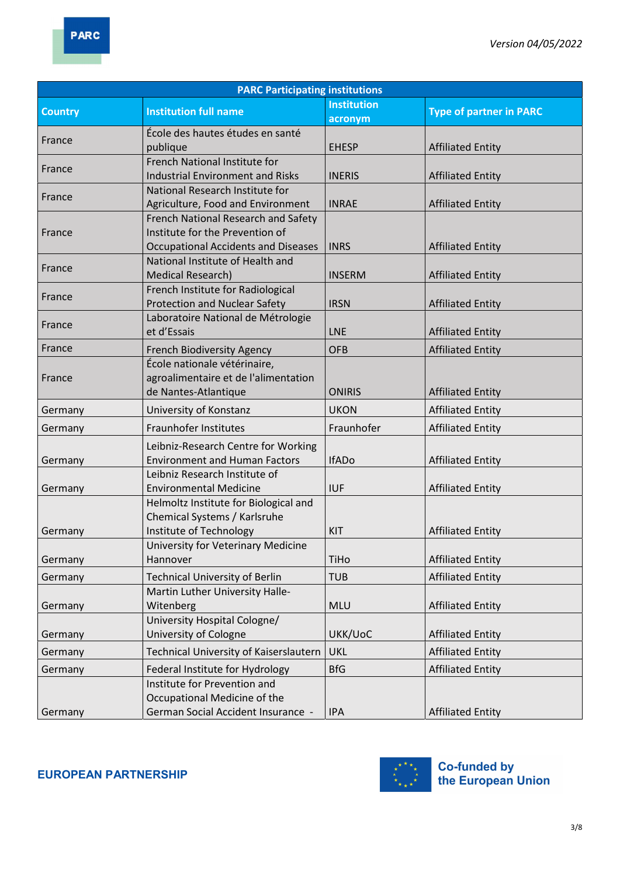| <b>PARC Participating institutions</b> |                                                                                                                      |                               |                                |  |
|----------------------------------------|----------------------------------------------------------------------------------------------------------------------|-------------------------------|--------------------------------|--|
| <b>Country</b>                         | <b>Institution full name</b>                                                                                         | <b>Institution</b><br>acronym | <b>Type of partner in PARC</b> |  |
| France                                 | École des hautes études en santé<br>publique                                                                         | <b>EHESP</b>                  | <b>Affiliated Entity</b>       |  |
| France                                 | French National Institute for<br><b>Industrial Environment and Risks</b>                                             | <b>INERIS</b>                 | <b>Affiliated Entity</b>       |  |
| France                                 | National Research Institute for<br>Agriculture, Food and Environment                                                 | <b>INRAE</b>                  | <b>Affiliated Entity</b>       |  |
| France                                 | French National Research and Safety<br>Institute for the Prevention of<br><b>Occupational Accidents and Diseases</b> | <b>INRS</b>                   | <b>Affiliated Entity</b>       |  |
| France                                 | National Institute of Health and<br><b>Medical Research)</b>                                                         | <b>INSERM</b>                 | <b>Affiliated Entity</b>       |  |
| France                                 | French Institute for Radiological<br><b>Protection and Nuclear Safety</b>                                            | <b>IRSN</b>                   | <b>Affiliated Entity</b>       |  |
| France                                 | Laboratoire National de Métrologie<br>et d'Essais                                                                    | <b>LNE</b>                    | <b>Affiliated Entity</b>       |  |
| France                                 | French Biodiversity Agency                                                                                           | <b>OFB</b>                    | <b>Affiliated Entity</b>       |  |
| France                                 | École nationale vétérinaire,<br>agroalimentaire et de l'alimentation<br>de Nantes-Atlantique                         | <b>ONIRIS</b>                 | <b>Affiliated Entity</b>       |  |
| Germany                                | University of Konstanz                                                                                               | <b>UKON</b>                   | <b>Affiliated Entity</b>       |  |
| Germany                                | Fraunhofer Institutes                                                                                                | Fraunhofer                    | <b>Affiliated Entity</b>       |  |
| Germany                                | Leibniz-Research Centre for Working<br><b>Environment and Human Factors</b>                                          | <b>IfADo</b>                  | <b>Affiliated Entity</b>       |  |
| Germany                                | Leibniz Research Institute of<br><b>Environmental Medicine</b>                                                       | <b>IUF</b>                    | <b>Affiliated Entity</b>       |  |
| Germany                                | Helmoltz Institute for Biological and<br>Chemical Systems / Karlsruhe<br>Institute of Technology                     | KIT                           | <b>Affiliated Entity</b>       |  |
| Germany                                | University for Veterinary Medicine<br>Hannover                                                                       | TiHo                          | <b>Affiliated Entity</b>       |  |
| Germany                                | <b>Technical University of Berlin</b>                                                                                | <b>TUB</b>                    | <b>Affiliated Entity</b>       |  |
| Germany                                | Martin Luther University Halle-<br>Witenberg                                                                         | <b>MLU</b>                    | <b>Affiliated Entity</b>       |  |
| Germany                                | University Hospital Cologne/<br>University of Cologne                                                                | UKK/UoC                       | <b>Affiliated Entity</b>       |  |
| Germany                                | Technical University of Kaiserslautern                                                                               | <b>UKL</b>                    | <b>Affiliated Entity</b>       |  |
| Germany                                | Federal Institute for Hydrology                                                                                      | <b>BfG</b>                    | <b>Affiliated Entity</b>       |  |
| Germany                                | Institute for Prevention and<br>Occupational Medicine of the<br><b>German Social Accident Insurance -</b>            | <b>IPA</b>                    | <b>Affiliated Entity</b>       |  |

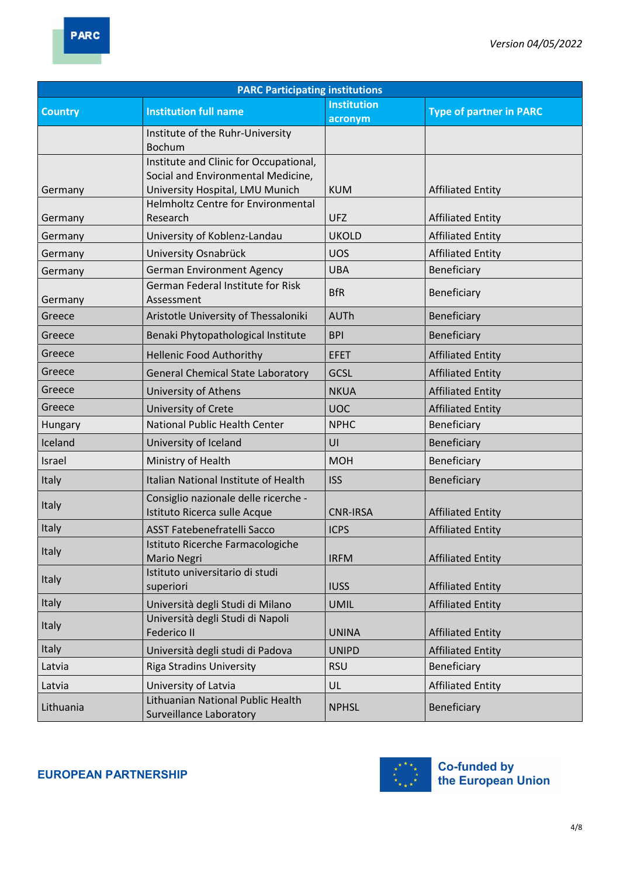| <b>PARC Participating institutions</b> |                                                                      |                    |                                |  |
|----------------------------------------|----------------------------------------------------------------------|--------------------|--------------------------------|--|
| <b>Country</b>                         | <b>Institution full name</b>                                         | <b>Institution</b> | <b>Type of partner in PARC</b> |  |
|                                        |                                                                      | acronym            |                                |  |
|                                        | Institute of the Ruhr-University<br><b>Bochum</b>                    |                    |                                |  |
|                                        | Institute and Clinic for Occupational,                               |                    |                                |  |
|                                        | Social and Environmental Medicine,                                   |                    |                                |  |
| Germany                                | University Hospital, LMU Munich                                      | <b>KUM</b>         | <b>Affiliated Entity</b>       |  |
|                                        | Helmholtz Centre for Environmental                                   |                    |                                |  |
| Germany                                | Research                                                             | <b>UFZ</b>         | <b>Affiliated Entity</b>       |  |
| Germany                                | University of Koblenz-Landau                                         | <b>UKOLD</b>       | <b>Affiliated Entity</b>       |  |
| Germany                                | University Osnabrück                                                 | <b>UOS</b>         | <b>Affiliated Entity</b>       |  |
| Germany                                | <b>German Environment Agency</b>                                     | <b>UBA</b>         | Beneficiary                    |  |
| Germany                                | German Federal Institute for Risk<br>Assessment                      | <b>BfR</b>         | Beneficiary                    |  |
| Greece                                 | Aristotle University of Thessaloniki                                 | <b>AUTh</b>        | Beneficiary                    |  |
| Greece                                 | Benaki Phytopathological Institute                                   | <b>BPI</b>         | Beneficiary                    |  |
| Greece                                 | <b>Hellenic Food Authorithy</b>                                      | <b>EFET</b>        | <b>Affiliated Entity</b>       |  |
| Greece                                 | <b>General Chemical State Laboratory</b>                             | GCSL               | <b>Affiliated Entity</b>       |  |
| Greece                                 | University of Athens                                                 | <b>NKUA</b>        | <b>Affiliated Entity</b>       |  |
| Greece                                 | University of Crete                                                  | <b>UOC</b>         | <b>Affiliated Entity</b>       |  |
| Hungary                                | <b>National Public Health Center</b>                                 | <b>NPHC</b>        | Beneficiary                    |  |
| Iceland                                | University of Iceland                                                | UI                 | Beneficiary                    |  |
| Israel                                 | Ministry of Health                                                   | <b>MOH</b>         | Beneficiary                    |  |
| Italy                                  | Italian National Institute of Health                                 | <b>ISS</b>         | Beneficiary                    |  |
| Italy                                  | Consiglio nazionale delle ricerche -<br>Istituto Ricerca sulle Acque | <b>CNR-IRSA</b>    | <b>Affiliated Entity</b>       |  |
| Italy                                  | <b>ASST Fatebenefratelli Sacco</b>                                   | <b>ICPS</b>        | <b>Affiliated Entity</b>       |  |
| Italy                                  | Istituto Ricerche Farmacologiche<br>Mario Negri                      | <b>IRFM</b>        | <b>Affiliated Entity</b>       |  |
| Italy                                  | Istituto universitario di studi<br>superiori                         | <b>IUSS</b>        | <b>Affiliated Entity</b>       |  |
| Italy                                  | Università degli Studi di Milano                                     | <b>UMIL</b>        | <b>Affiliated Entity</b>       |  |
|                                        | Università degli Studi di Napoli                                     |                    |                                |  |
| Italy                                  | Federico II                                                          | <b>UNINA</b>       | <b>Affiliated Entity</b>       |  |
| Italy                                  | Università degli studi di Padova                                     | <b>UNIPD</b>       | <b>Affiliated Entity</b>       |  |
| Latvia                                 | <b>Riga Stradins University</b>                                      | <b>RSU</b>         | Beneficiary                    |  |
| Latvia                                 | University of Latvia                                                 | UL                 | <b>Affiliated Entity</b>       |  |
| Lithuania                              | Lithuanian National Public Health<br><b>Surveillance Laboratory</b>  | <b>NPHSL</b>       | Beneficiary                    |  |

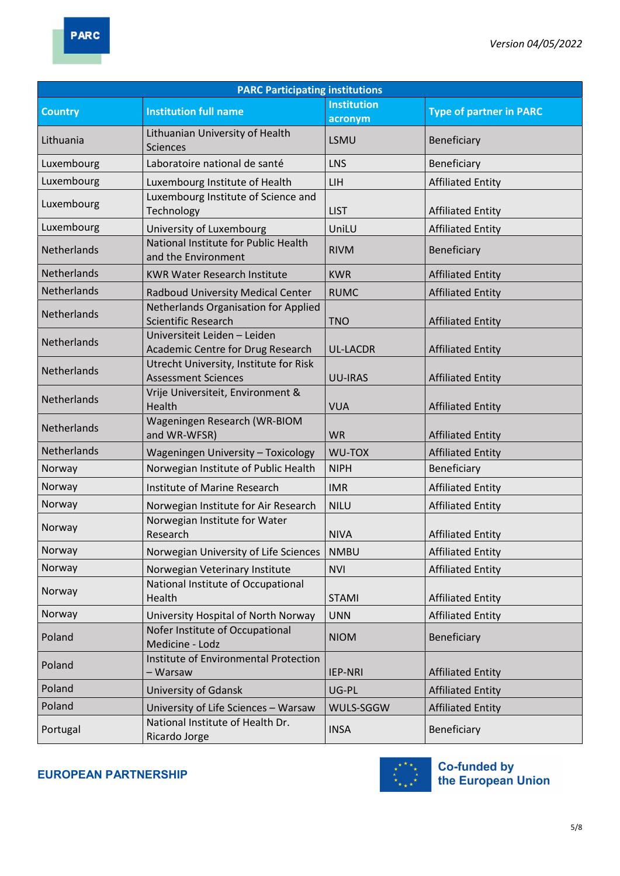| <b>PARC Participating institutions</b> |                                                                      |                               |                                |  |
|----------------------------------------|----------------------------------------------------------------------|-------------------------------|--------------------------------|--|
| <b>Country</b>                         | <b>Institution full name</b>                                         | <b>Institution</b><br>acronym | <b>Type of partner in PARC</b> |  |
| Lithuania                              | Lithuanian University of Health<br><b>Sciences</b>                   | LSMU                          | Beneficiary                    |  |
| Luxembourg                             | Laboratoire national de santé                                        | <b>LNS</b>                    | Beneficiary                    |  |
| Luxembourg                             | Luxembourg Institute of Health                                       | <b>LIH</b>                    | <b>Affiliated Entity</b>       |  |
| Luxembourg                             | Luxembourg Institute of Science and<br>Technology                    | <b>LIST</b>                   | <b>Affiliated Entity</b>       |  |
| Luxembourg                             | University of Luxembourg                                             | UniLU                         | <b>Affiliated Entity</b>       |  |
| Netherlands                            | National Institute for Public Health<br>and the Environment          | <b>RIVM</b>                   | Beneficiary                    |  |
| Netherlands                            | <b>KWR Water Research Institute</b>                                  | <b>KWR</b>                    | <b>Affiliated Entity</b>       |  |
| Netherlands                            | Radboud University Medical Center                                    | <b>RUMC</b>                   | <b>Affiliated Entity</b>       |  |
| Netherlands                            | Netherlands Organisation for Applied<br><b>Scientific Research</b>   | <b>TNO</b>                    | <b>Affiliated Entity</b>       |  |
| Netherlands                            | Universiteit Leiden - Leiden<br>Academic Centre for Drug Research    | <b>UL-LACDR</b>               | <b>Affiliated Entity</b>       |  |
| Netherlands                            | Utrecht University, Institute for Risk<br><b>Assessment Sciences</b> | <b>UU-IRAS</b>                | <b>Affiliated Entity</b>       |  |
| Netherlands                            | Vrije Universiteit, Environment &<br>Health                          | <b>VUA</b>                    | <b>Affiliated Entity</b>       |  |
| Netherlands                            | Wageningen Research (WR-BIOM<br>and WR-WFSR)                         | <b>WR</b>                     | <b>Affiliated Entity</b>       |  |
| Netherlands                            | <b>Wageningen University - Toxicology</b>                            | WU-TOX                        | <b>Affiliated Entity</b>       |  |
| Norway                                 | Norwegian Institute of Public Health                                 | <b>NIPH</b>                   | Beneficiary                    |  |
| Norway                                 | Institute of Marine Research                                         | <b>IMR</b>                    | <b>Affiliated Entity</b>       |  |
| Norway                                 | Norwegian Institute for Air Research                                 | <b>NILU</b>                   | <b>Affiliated Entity</b>       |  |
| Norway                                 | Norwegian Institute for Water<br>Research                            | <b>NIVA</b>                   | <b>Affiliated Entity</b>       |  |
| Norway                                 | Norwegian University of Life Sciences                                | <b>NMBU</b>                   | <b>Affiliated Entity</b>       |  |
| Norway                                 | Norwegian Veterinary Institute                                       | <b>NVI</b>                    | <b>Affiliated Entity</b>       |  |
| Norway                                 | National Institute of Occupational<br>Health                         | <b>STAMI</b>                  | <b>Affiliated Entity</b>       |  |
| Norway                                 | University Hospital of North Norway                                  | <b>UNN</b>                    | <b>Affiliated Entity</b>       |  |
| Poland                                 | Nofer Institute of Occupational<br>Medicine - Lodz                   | <b>NIOM</b>                   | Beneficiary                    |  |
| Poland                                 | Institute of Environmental Protection<br>- Warsaw                    | IEP-NRI                       | <b>Affiliated Entity</b>       |  |
| Poland                                 | University of Gdansk                                                 | UG-PL                         | <b>Affiliated Entity</b>       |  |
| Poland                                 | University of Life Sciences - Warsaw                                 | WULS-SGGW                     | <b>Affiliated Entity</b>       |  |
| Portugal                               | National Institute of Health Dr.<br>Ricardo Jorge                    | <b>INSA</b>                   | Beneficiary                    |  |

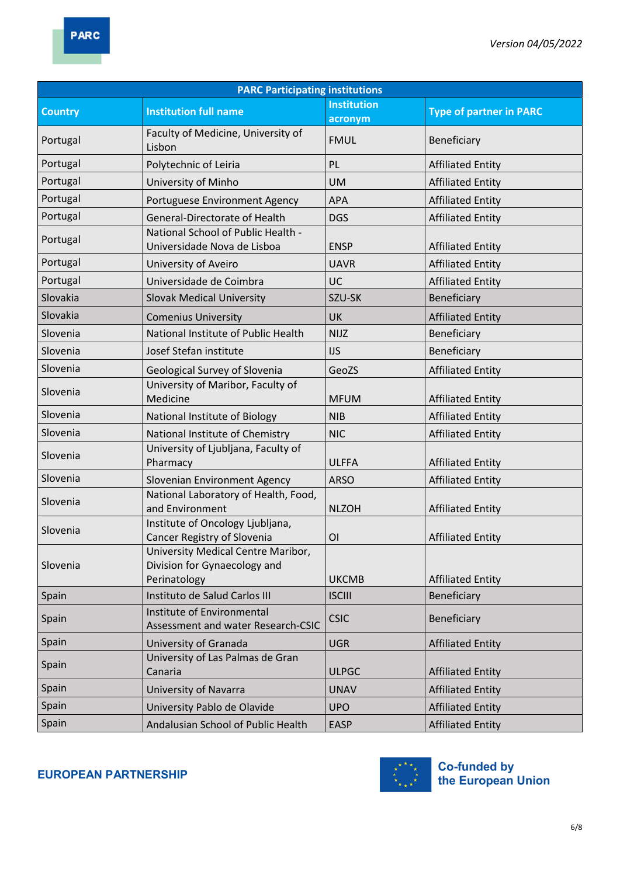| <b>PARC Participating institutions</b> |                                                                                    |                    |                                |  |
|----------------------------------------|------------------------------------------------------------------------------------|--------------------|--------------------------------|--|
| <b>Country</b>                         | <b>Institution full name</b>                                                       | <b>Institution</b> | <b>Type of partner in PARC</b> |  |
|                                        |                                                                                    | acronym            |                                |  |
| Portugal                               | Faculty of Medicine, University of<br>Lisbon                                       | <b>FMUL</b>        | Beneficiary                    |  |
| Portugal                               | Polytechnic of Leiria                                                              | PL                 | <b>Affiliated Entity</b>       |  |
| Portugal                               | University of Minho                                                                | <b>UM</b>          | <b>Affiliated Entity</b>       |  |
| Portugal                               | Portuguese Environment Agency                                                      | APA                | <b>Affiliated Entity</b>       |  |
| Portugal                               | General-Directorate of Health                                                      | <b>DGS</b>         | <b>Affiliated Entity</b>       |  |
| Portugal                               | National School of Public Health -<br>Universidade Nova de Lisboa                  | <b>ENSP</b>        | <b>Affiliated Entity</b>       |  |
| Portugal                               | University of Aveiro                                                               | <b>UAVR</b>        | <b>Affiliated Entity</b>       |  |
| Portugal                               | Universidade de Coimbra                                                            | UC                 | <b>Affiliated Entity</b>       |  |
| Slovakia                               | <b>Slovak Medical University</b>                                                   | SZU-SK             | Beneficiary                    |  |
| Slovakia                               | <b>Comenius University</b>                                                         | <b>UK</b>          | <b>Affiliated Entity</b>       |  |
| Slovenia                               | National Institute of Public Health                                                | <b>NIJZ</b>        | Beneficiary                    |  |
| Slovenia                               | Josef Stefan institute                                                             | <b>IJS</b>         | Beneficiary                    |  |
| Slovenia                               | <b>Geological Survey of Slovenia</b>                                               | GeoZS              | <b>Affiliated Entity</b>       |  |
| Slovenia                               | University of Maribor, Faculty of<br>Medicine                                      | <b>MFUM</b>        | <b>Affiliated Entity</b>       |  |
| Slovenia                               | National Institute of Biology                                                      | <b>NIB</b>         | <b>Affiliated Entity</b>       |  |
| Slovenia                               | National Institute of Chemistry                                                    | <b>NIC</b>         | <b>Affiliated Entity</b>       |  |
| Slovenia                               | University of Ljubljana, Faculty of<br>Pharmacy                                    | <b>ULFFA</b>       | <b>Affiliated Entity</b>       |  |
| Slovenia                               | Slovenian Environment Agency                                                       | <b>ARSO</b>        | <b>Affiliated Entity</b>       |  |
| Slovenia                               | National Laboratory of Health, Food,<br>and Environment                            | <b>NLZOH</b>       | <b>Affiliated Entity</b>       |  |
| Slovenia                               | Institute of Oncology Ljubljana,<br>Cancer Registry of Slovenia                    | <b>OI</b>          | <b>Affiliated Entity</b>       |  |
| Slovenia                               | University Medical Centre Maribor,<br>Division for Gynaecology and<br>Perinatology | <b>UKCMB</b>       | <b>Affiliated Entity</b>       |  |
| Spain                                  | Instituto de Salud Carlos III                                                      | <b>ISCIII</b>      | Beneficiary                    |  |
| Spain                                  | Institute of Environmental<br>Assessment and water Research-CSIC                   | <b>CSIC</b>        | Beneficiary                    |  |
| Spain                                  | University of Granada                                                              | <b>UGR</b>         | <b>Affiliated Entity</b>       |  |
| Spain                                  | University of Las Palmas de Gran<br>Canaria                                        | <b>ULPGC</b>       | <b>Affiliated Entity</b>       |  |
| Spain                                  | University of Navarra                                                              | <b>UNAV</b>        | <b>Affiliated Entity</b>       |  |
| Spain                                  | University Pablo de Olavide                                                        | <b>UPO</b>         | <b>Affiliated Entity</b>       |  |
| Spain                                  | Andalusian School of Public Health                                                 | <b>EASP</b>        | <b>Affiliated Entity</b>       |  |

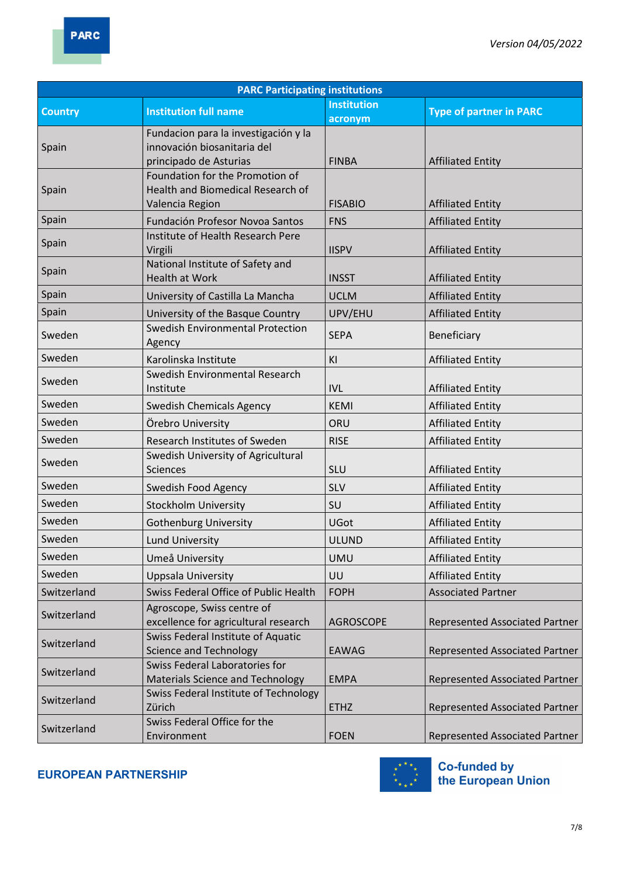| <b>PARC Participating institutions</b> |                                                           |                    |                                       |
|----------------------------------------|-----------------------------------------------------------|--------------------|---------------------------------------|
| <b>Country</b>                         | <b>Institution full name</b>                              | <b>Institution</b> | <b>Type of partner in PARC</b>        |
|                                        |                                                           | acronym            |                                       |
|                                        | Fundacion para la investigación y la                      |                    |                                       |
| Spain                                  | innovación biosanitaria del<br>principado de Asturias     | <b>FINBA</b>       | <b>Affiliated Entity</b>              |
|                                        | Foundation for the Promotion of                           |                    |                                       |
| Spain                                  | Health and Biomedical Research of                         |                    |                                       |
|                                        | Valencia Region                                           | <b>FISABIO</b>     | <b>Affiliated Entity</b>              |
| Spain                                  | Fundación Profesor Novoa Santos                           | <b>FNS</b>         | <b>Affiliated Entity</b>              |
| Spain                                  | Institute of Health Research Pere                         |                    |                                       |
|                                        | Virgili                                                   | <b>IISPV</b>       | <b>Affiliated Entity</b>              |
| Spain                                  | National Institute of Safety and<br><b>Health at Work</b> |                    |                                       |
|                                        |                                                           | <b>INSST</b>       | <b>Affiliated Entity</b>              |
| Spain                                  | University of Castilla La Mancha                          | <b>UCLM</b>        | <b>Affiliated Entity</b>              |
| Spain                                  | University of the Basque Country                          | UPV/EHU            | <b>Affiliated Entity</b>              |
| Sweden                                 | <b>Swedish Environmental Protection</b><br>Agency         | <b>SEPA</b>        | Beneficiary                           |
| Sweden                                 | Karolinska Institute                                      | KI                 |                                       |
|                                        | Swedish Environmental Research                            |                    | <b>Affiliated Entity</b>              |
| Sweden                                 | Institute                                                 | IVL                | <b>Affiliated Entity</b>              |
| Sweden                                 | <b>Swedish Chemicals Agency</b>                           | <b>KEMI</b>        | <b>Affiliated Entity</b>              |
| Sweden                                 | Örebro University                                         | ORU                | <b>Affiliated Entity</b>              |
| Sweden                                 | Research Institutes of Sweden                             | <b>RISE</b>        | <b>Affiliated Entity</b>              |
|                                        | Swedish University of Agricultural                        |                    |                                       |
| Sweden                                 | <b>Sciences</b>                                           | <b>SLU</b>         | <b>Affiliated Entity</b>              |
| Sweden                                 | Swedish Food Agency                                       | <b>SLV</b>         | <b>Affiliated Entity</b>              |
| Sweden                                 | <b>Stockholm University</b>                               | SU                 | <b>Affiliated Entity</b>              |
| Sweden                                 | <b>Gothenburg University</b>                              | <b>UGot</b>        | <b>Affiliated Entity</b>              |
| Sweden                                 | <b>Lund University</b>                                    | <b>ULUND</b>       | <b>Affiliated Entity</b>              |
| Sweden                                 | Umeå University                                           | <b>UMU</b>         | <b>Affiliated Entity</b>              |
| Sweden                                 | Uppsala University                                        | UU                 | <b>Affiliated Entity</b>              |
| Switzerland                            | Swiss Federal Office of Public Health                     | <b>FOPH</b>        | <b>Associated Partner</b>             |
|                                        | Agroscope, Swiss centre of                                |                    |                                       |
| Switzerland                            | excellence for agricultural research                      | <b>AGROSCOPE</b>   | <b>Represented Associated Partner</b> |
| Switzerland                            | Swiss Federal Institute of Aquatic                        |                    |                                       |
|                                        | <b>Science and Technology</b>                             | <b>EAWAG</b>       | Represented Associated Partner        |
| Switzerland                            | <b>Swiss Federal Laboratories for</b>                     |                    |                                       |
|                                        | <b>Materials Science and Technology</b>                   | <b>EMPA</b>        | <b>Represented Associated Partner</b> |
| Switzerland                            | Swiss Federal Institute of Technology<br>Zürich           | <b>ETHZ</b>        | <b>Represented Associated Partner</b> |
|                                        | Swiss Federal Office for the                              |                    |                                       |
| Switzerland                            | Environment                                               | <b>FOEN</b>        | <b>Represented Associated Partner</b> |